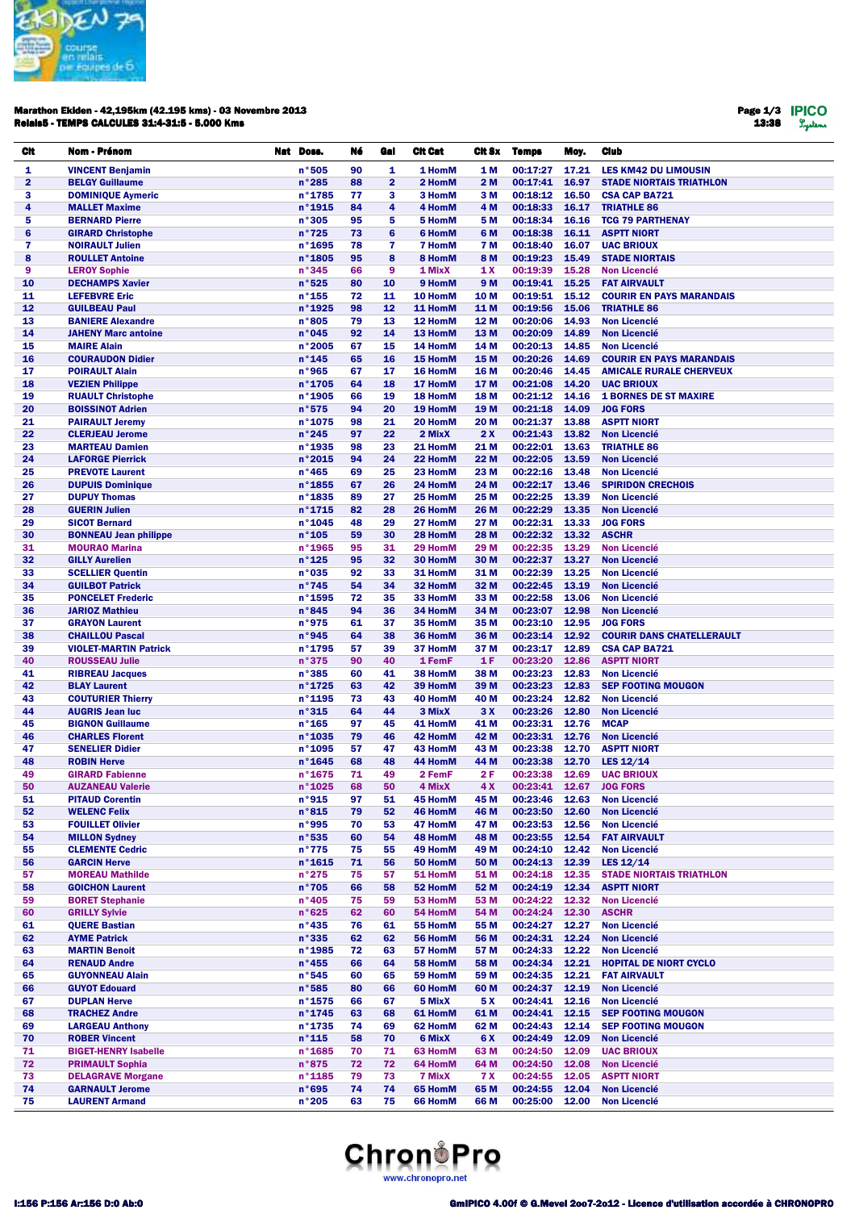

#### Marathon Ekiden - 42,195km (42.195 kms) - 03 Novembre 2013 Relais5 - TEMPS CALCULES 31:4-31:5 - 5.000 Kms

Page 1/3 13:38

| CIt      | Nom - Prénom                                          | Nat Doss.                 | Né       | Gal            | <b>Cit Cat</b>     | Cit Sx       | <b>Temps</b>               | Moy.           | <b>Club</b>                                      |
|----------|-------------------------------------------------------|---------------------------|----------|----------------|--------------------|--------------|----------------------------|----------------|--------------------------------------------------|
| 1        | <b>VINCENT Benjamin</b>                               | n°505                     | 90       | 1              | 1 HomM             | 1 M          | 00:17:27                   | 17.21          | <b>LES KM42 DU LIMOUSIN</b>                      |
| 2        | <b>BELGY Guillaume</b>                                | $n^{\circ}285$            | 88       | $\overline{2}$ | 2 HomM             | 2 M          | 00:17:41                   | 16.97          | <b>STADE NIORTAIS TRIATHLON</b>                  |
| 3        | <b>DOMINIQUE Aymeric</b>                              | n°1785                    | 77       | 3              | 3 HomM             | 3 M          | 00:18:12                   | 16.50          | <b>CSA CAP BA721</b>                             |
| 4        | <b>MALLET Maxime</b>                                  | $n^{\circ}$ 1915          | 84       | 4              | 4 HomM             | 4 M          | 00:18:33                   | 16.17          | <b>TRIATHLE 86</b>                               |
| 5        | <b>BERNARD Pierre</b>                                 | n°305                     | 95       | 5              | 5 HomM             | 5 M          | 00:18:34                   | 16.16          | <b>TCG 79 PARTHENAY</b>                          |
| 6        | <b>GIRARD Christophe</b>                              | n°725                     | 73       | 6              | <b>6 HomM</b>      | 6 M          | 00:18:38                   | 16.11          | <b>ASPTT NIORT</b>                               |
| 7        | <b>NOIRAULT Julien</b>                                | n°1695                    | 78       | 7              | <b>7 HomM</b>      | 7 M          | 00:18:40                   | 16.07          | <b>UAC BRIOUX</b>                                |
| 8        | <b>ROULLET Antoine</b>                                | n°1805                    | 95       | 8              | 8 HomM             | 8 M          | 00:19:23                   | 15.49          | <b>STADE NIORTAIS</b>                            |
| 9<br>10  | <b>LEROY Sophie</b><br><b>DECHAMPS Xavier</b>         | n°345<br>n°525            | 66<br>80 | 9<br>10        | 1 MixX<br>9 HomM   | 1 X<br>9 M   | 00:19:39<br>00:19:41       | 15.28<br>15.25 | <b>Non Licencié</b><br><b>FAT AIRVAULT</b>       |
| 11       | <b>LEFEBVRE Eric</b>                                  | $n^{\circ}$ 155           | 72       | 11             | 10 HomM            | 10 M         | 00:19:51                   | 15.12          | <b>COURIR EN PAYS MARANDAIS</b>                  |
| 12       | <b>GUILBEAU Paul</b>                                  | n°1925                    | 98       | 12             | 11 HomM            | 11 M         | 00:19:56                   | 15.06          | <b>TRIATHLE 86</b>                               |
| 13       | <b>BANIERE Alexandre</b>                              | n°805                     | 79       | 13             | 12 HomM            | 12 M         | 00:20:06                   | 14.93          | <b>Non Licencié</b>                              |
| 14       | <b>JAHENY Marc antoine</b>                            | n°045                     | 92       | 14             | 13 HomM            | 13 M         | 00:20:09                   | 14.89          | <b>Non Licencié</b>                              |
| 15       | <b>MAIRE Alain</b>                                    | $n°$ 2005                 | 67       | 15             | 14 HomM            | 14 M         | 00:20:13                   | 14.85          | <b>Non Licencié</b>                              |
| 16       | <b>COURAUDON Didier</b>                               | $n^{\circ}$ 145           | 65       | 16             | 15 HomM            | 15 M         | 00:20:26                   | 14.69          | <b>COURIR EN PAYS MARANDAIS</b>                  |
| 17       | <b>POIRAULT Alain</b>                                 | n°965                     | 67       | 17             | 16 HomM            | 16 M         | 00:20:46                   | 14.45          | <b>AMICALE RURALE CHERVEUX</b>                   |
| 18       | <b>VEZIEN Philippe</b>                                | n°1705                    | 64       | 18             | 17 HomM            | 17 M         | 00:21:08                   | 14.20          | <b>UAC BRIOUX</b>                                |
| 19       | <b>RUAULT Christophe</b>                              | n°1905                    | 66       | 19             | 18 HomM            | 18 M         | 00:21:12                   | 14.16          | <b>1 BORNES DE ST MAXIRE</b>                     |
| 20<br>21 | <b>BOISSINOT Adrien</b><br><b>PAIRAULT Jeremy</b>     | n°575<br>$n^{\circ}$ 1075 | 94<br>98 | 20<br>21       | 19 HomM<br>20 HomM | 19 M<br>20 M | 00:21:18<br>00:21:37       | 14.09<br>13.88 | <b>JOG FORS</b><br><b>ASPTT NIORT</b>            |
| 22       | <b>CLERJEAU Jerome</b>                                | n°245                     | 97       | 22             | 2 MixX             | 2 X          | 00:21:43                   | 13.82          | <b>Non Licencié</b>                              |
| 23       | <b>MARTEAU Damien</b>                                 | $n^{\circ}$ 1935          | 98       | 23             | 21 HomM            | 21 M         | 00:22:01                   | 13.63          | <b>TRIATHLE 86</b>                               |
| 24       | <b>LAFORGE Pierrick</b>                               | n°2015                    | 94       | 24             | 22 HomM            | 22 M         | 00:22:05                   | 13.59          | <b>Non Licencié</b>                              |
| 25       | <b>PREVOTE Laurent</b>                                | $n^{\circ}465$            | 69       | 25             | 23 HomM            | 23 M         | 00:22:16                   | 13.48          | <b>Non Licencié</b>                              |
| 26       | <b>DUPUIS Dominique</b>                               | $n^{\circ}$ 1855          | 67       | 26             | 24 HomM            | 24 M         | 00:22:17                   | 13.46          | <b>SPIRIDON CRECHOIS</b>                         |
| 27       | <b>DUPUY Thomas</b>                                   | n°1835                    | 89       | 27             | 25 HomM            | 25 M         | 00:22:25                   | 13.39          | <b>Non Licencié</b>                              |
| 28       | <b>GUERIN Julien</b>                                  | $n^{\circ}$ 1715          | 82       | 28             | 26 HomM            | 26 M         | 00:22:29                   | 13.35          | <b>Non Licencié</b>                              |
| 29       | <b>SICOT Bernard</b>                                  | n°1045                    | 48       | 29             | 27 HomM            | 27 M         | 00:22:31                   | 13.33          | <b>JOG FORS</b>                                  |
| 30       | <b>BONNEAU Jean philippe</b>                          | $n^{\circ}$ 105           | 59       | 30             | 28 HomM            | 28 M         | 00:22:32                   | 13.32          | <b>ASCHR</b>                                     |
| 31<br>32 | <b>MOURAO Marina</b><br><b>GILLY Aurelien</b>         | n°1965<br>$n^{\circ}$ 125 | 95<br>95 | 31<br>32       | 29 HomM<br>30 HomM | 29 M<br>30 M | 00:22:35<br>00:22:37 13.27 | 13.29          | <b>Non Licencié</b><br><b>Non Licencié</b>       |
| 33       | <b>SCELLIER Quentin</b>                               | n°035                     | 92       | 33             | 31 HomM            | 31 M         | 00:22:39                   | 13.25          | <b>Non Licencié</b>                              |
| 34       | <b>GUILBOT Patrick</b>                                | n°745                     | 54       | 34             | 32 HomM            | 32 M         | 00:22:45                   | 13.19          | <b>Non Licencié</b>                              |
| 35       | <b>PONCELET Frederic</b>                              | n°1595                    | 72       | 35             | 33 HomM            | 33 M         | 00:22:58                   | 13.06          | <b>Non Licencié</b>                              |
| 36       | <b>JARIOZ Mathieu</b>                                 | n°845                     | 94       | 36             | 34 HomM            | 34 M         | 00:23:07                   | 12.98          | <b>Non Licencié</b>                              |
| 37       | <b>GRAYON Laurent</b>                                 | n°975                     | 61       | 37             | 35 HomM            | 35 M         | 00:23:10                   | 12.95          | <b>JOG FORS</b>                                  |
| 38       | <b>CHAILLOU Pascal</b>                                | n°945                     | 64       | 38             | 36 HomM            | 36 M         | 00:23:14                   | 12.92          | <b>COURIR DANS CHATELLERAULT</b>                 |
| 39       | <b>VIOLET-MARTIN Patrick</b>                          | n°1795                    | 57       | 39             | 37 HomM            | 37 M         | 00:23:17                   | 12.89          | <b>CSA CAP BA721</b>                             |
| 40       | <b>ROUSSEAU Julie</b>                                 | n°375                     | 90       | 40             | 1 FemF             | 1 F          | 00:23:20                   | 12.86          | <b>ASPTT NIORT</b>                               |
| 41<br>42 | <b>RIBREAU Jacques</b><br><b>BLAY Laurent</b>         | n°385<br>n°1725           | 60<br>63 | 41<br>42       | 38 HomM<br>39 HomM | 38 M<br>39 M | 00:23:23<br>00:23:23       | 12.83<br>12.83 | <b>Non Licencié</b><br><b>SEP FOOTING MOUGON</b> |
| 43       | <b>COUTURIER Thierry</b>                              | n°1195                    | 73       | 43             | 40 HomM            | 40 M         | 00:23:24                   | 12.82          | <b>Non Licencié</b>                              |
| 44       | <b>AUGRIS Jean luc</b>                                | n°315                     | 64       | 44             | 3 MixX             | 3 X          | 00:23:26                   | 12.80          | <b>Non Licencié</b>                              |
| 45       | <b>BIGNON Guillaume</b>                               | $n^{\circ}$ 165           | 97       | 45             | 41 HomM            | 41 M         | 00:23:31 12.76             |                | <b>MCAP</b>                                      |
| 46       | <b>CHARLES Florent</b>                                | $n^{\circ}$ 1035          | 79       | 46             | 42 HomM            | 42 M         | 00:23:31 12.76             |                | <b>Non Licencié</b>                              |
| 47       | <b>SENELIER Didier</b>                                | $n^{\circ}$ 1095          | 57       | 47             | 43 HomM            | 43 M         | 00:23:38                   | 12.70          | <b>ASPTT NIORT</b>                               |
| 48       | <b>ROBIN Herve</b>                                    | $n^{\circ}$ 1645          | 68       | 48             | 44 HomM            | 44 M         | 00:23:38                   | 12.70          | LES $12/14$                                      |
| 49       | <b>GIRARD Fabienne</b>                                | $n^{\circ}$ 1675          | 71       | 49             | 2 FemF             | 2 F          | 00:23:38                   | 12.69          | <b>UAC BRIOUX</b>                                |
| 50<br>51 | <b>AUZANEAU Valerie</b><br><b>PITAUD Corentin</b>     | $n^{\circ}$ 1025<br>n°915 | 68<br>97 | 50<br>51       | 4 MixX<br>45 HomM  | 4 X<br>45 M  | 00:23:46 12.63             |                | 00:23:41 12.67 JOG FORS<br><b>Non Licencié</b>   |
| 52       | <b>WELENC Felix</b>                                   | n°815                     | 79       | 52             | 46 HomM            | 46 M         | 00:23:50                   | 12.60          | <b>Non Licencié</b>                              |
| 53       | <b>FOUILLET Olivier</b>                               | n°995                     | 70       | 53             | 47 HomM            | 47 M         | 00:23:53                   | 12.56          | <b>Non Licencié</b>                              |
| 54       | <b>MILLON Sydney</b>                                  | n°535                     | 60       | 54             | 48 HomM            | 48 M         | 00:23:55                   | 12.54          | <b>FAT AIRVAULT</b>                              |
| 55       | <b>CLEMENTE Cedric</b>                                | n°775                     | 75       | 55             | 49 HomM            | 49 M         | 00:24:10                   | 12.42          | <b>Non Licencié</b>                              |
| 56       | <b>GARCIN Herve</b>                                   | $n^{\circ}$ 1615          | 71       | 56             | 50 HomM            | 50 M         | 00:24:13                   | 12.39          | LES 12/14                                        |
| 57       | <b>MOREAU Mathilde</b>                                | n°275                     | 75       | 57             | 51 HomM            | 51 M         | 00:24:18                   | 12.35          | <b>STADE NIORTAIS TRIATHLON</b>                  |
| 58       | <b>GOICHON Laurent</b>                                | n°705                     | 66       | 58             | 52 HomM            | 52 M         | 00:24:19                   | 12.34          | <b>ASPTT NIORT</b>                               |
| 59       | <b>BORET Stephanie</b>                                | n°405                     | 75       | 59             | 53 HomM            | 53 M         | 00:24:22                   | 12.32          | <b>Non Licencié</b><br><b>ASCHR</b>              |
| 60<br>61 | <b>GRILLY Sylvie</b><br><b>QUERE Bastian</b>          | n°625<br>$n^{\circ}$ 435  | 62<br>76 | 60<br>61       | 54 HomM<br>55 HomM | 54 M<br>55 M | 00:24:24<br>00:24:27       | 12.30<br>12.27 | <b>Non Licencié</b>                              |
| 62       | <b>AYME Patrick</b>                                   | n°335                     | 62       | 62             | 56 HomM            | 56 M         | 00:24:31                   | 12.24          | <b>Non Licencié</b>                              |
| 63       | <b>MARTIN Benoit</b>                                  | $n°$ 1985                 | 72       | 63             | 57 HomM            | 57 M         | 00:24:33                   | 12.22          | <b>Non Licencié</b>                              |
| 64       | <b>RENAUD Andre</b>                                   | $n^{\circ}$ 455           | 66       | 64             | 58 HomM            | 58 M         | 00:24:34                   | 12.21          | <b>HOPITAL DE NIORT CYCLO</b>                    |
| 65       | <b>GUYONNEAU Alain</b>                                | n°545                     | 60       | 65             | 59 HomM            | 59 M         | 00:24:35                   | 12.21          | <b>FAT AIRVAULT</b>                              |
| 66       | <b>GUYOT Edouard</b>                                  | n°585                     | 80       | 66             | 60 HomM            | 60 M         | 00:24:37                   | 12.19          | <b>Non Licencié</b>                              |
| 67       | <b>DUPLAN Herve</b>                                   | $n^{\circ}$ 1575          | 66       | 67             | 5 MixX             | 5 X          | 00:24:41                   | 12.16          | <b>Non Licencié</b>                              |
| 68       | <b>TRACHEZ Andre</b>                                  | n°1745                    | 63       | 68             | 61 HomM            | 61 M         | 00:24:41                   | 12.15          | <b>SEP FOOTING MOUGON</b>                        |
| 69       | <b>LARGEAU Anthony</b>                                | n°1735                    | 74       | 69             | 62 HomM            | 62 M         | 00:24:43                   | 12.14          | <b>SEP FOOTING MOUGON</b>                        |
| 70       | <b>ROBER Vincent</b>                                  | $n^{\circ}$ 115           | 58       | 70             | 6 MixX             | 6 X          | 00:24:49                   | 12.09          | <b>Non Licencié</b>                              |
| 71<br>72 | <b>BIGET-HENRY Isabelle</b><br><b>PRIMAULT Sophia</b> | $n^{\circ}$ 1685<br>n°875 | 70<br>72 | 71<br>72       | 63 HomM<br>64 HomM | 63 M<br>64 M | 00:24:50<br>00:24:50       | 12.09<br>12.08 | <b>UAC BRIOUX</b><br><b>Non Licencié</b>         |
| 73       | <b>DELAGRAVE Morgane</b>                              | $n^{\circ}$ 1185          | 79       | 73             | 7 MixX             | <b>7 X</b>   | 00:24:55                   | 12.05          | <b>ASPTT NIORT</b>                               |
| 74       | <b>GARNAULT Jerome</b>                                | n°695                     | 74       | 74             | 65 HomM            | 65 M         | 00:24:55                   | 12.04          | <b>Non Licencié</b>                              |
| 75       | <b>LAURENT Armand</b>                                 | n°205                     | 63       | 75             | 66 HomM            | 66 M         | 00:25:00                   | 12.00          | <b>Non Licencié</b>                              |

# **Chron**<sup>1</sup>Pro www.chronopro.net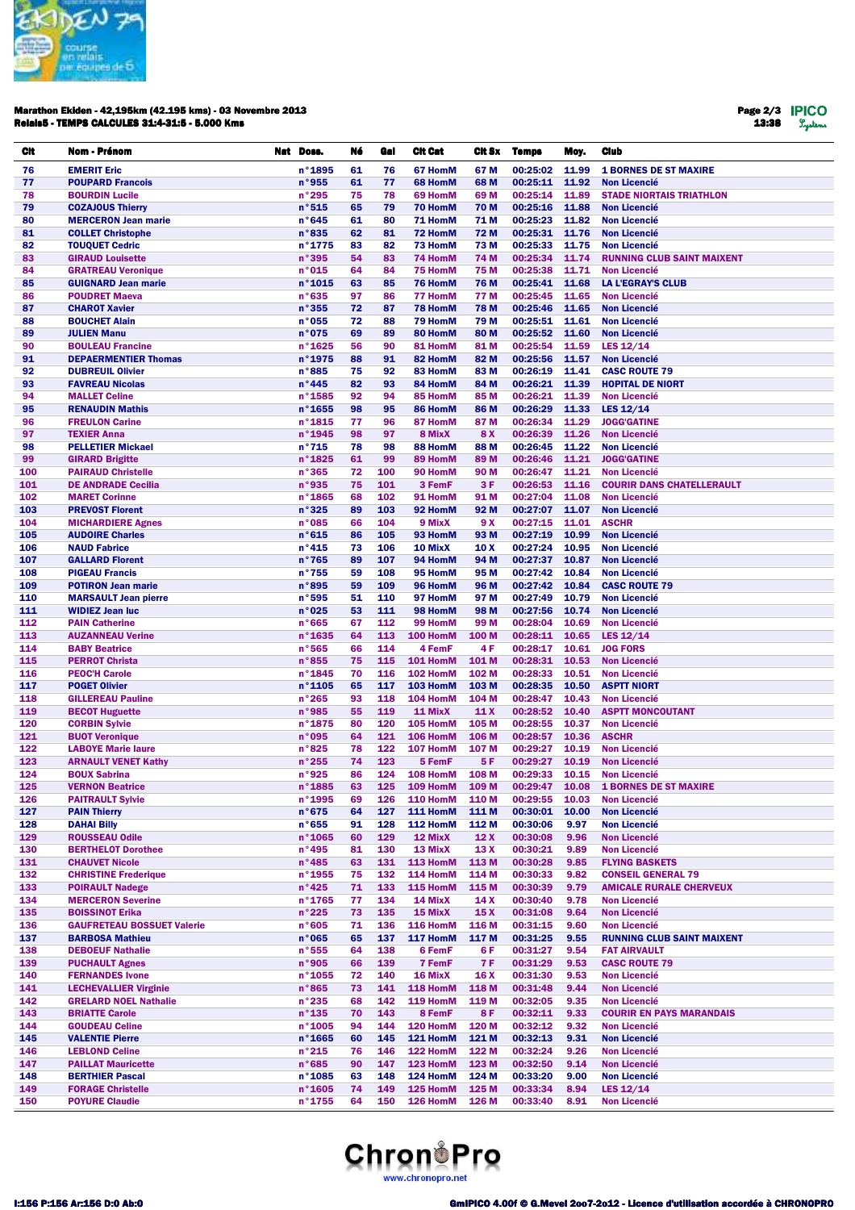

#### Marathon Ekiden - 42,195km (42.195 kms) - 03 Novembre 2013 Relais5 - TEMPS CALCULES 31:4-31:5 - 5.000 Kms

Page 2/3 13:38

| Cit        | Nom - Prénom                                                 | Nat Doss.                          | Né       | Gal        | <b>Cit Cat</b>       | CIt Sx              | <b>Temps</b>         | Moy.           | <b>Club</b>                                             |
|------------|--------------------------------------------------------------|------------------------------------|----------|------------|----------------------|---------------------|----------------------|----------------|---------------------------------------------------------|
| 76         | <b>EMERIT Eric</b>                                           | n°1895                             | 61       | 76         | 67 HomM              | 67 M                | 00:25:02             | 11.99          | <b>1 BORNES DE ST MAXIRE</b>                            |
| 77         | <b>POUPARD Francois</b>                                      | n°955                              | 61       | 77         | 68 HomM              | 68 M                | 00:25:11             | 11.92          | <b>Non Licencié</b>                                     |
| 78         | <b>BOURDIN Lucile</b>                                        | n°295                              | 75       | 78         | 69 HomM              | 69 M                | 00:25:14             | 11.89          | <b>STADE NIORTAIS TRIATHLON</b>                         |
| 79         | <b>COZAJOUS Thierry</b>                                      | n°515<br>n°645                     | 65<br>61 | 79<br>80   | 70 HomM<br>71 HomM   | 70 M                | 00:25:16<br>00:25:23 | 11.88<br>11.82 | <b>Non Licencié</b>                                     |
| 80<br>81   | <b>MERCERON Jean marie</b><br><b>COLLET Christophe</b>       | n°835                              | 62       | 81         | 72 HomM              | 71 M<br>72 M        | 00:25:31             | 11.76          | <b>Non Licencié</b><br><b>Non Licencié</b>              |
| 82         | <b>TOUQUET Cedric</b>                                        | n°1775                             | 83       | 82         | 73 HomM              | 73 M                | 00:25:33             | 11.75          | <b>Non Licencié</b>                                     |
| 83         | <b>GIRAUD Louisette</b>                                      | n°395                              | 54       | 83         | 74 HomM              | 74 M                | 00:25:34             | 11.74          | <b>RUNNING CLUB SAINT MAIXENT</b>                       |
| 84         | <b>GRATREAU Veronique</b>                                    | n°015                              | 64       | 84         | 75 HomM              | 75 M                | 00:25:38             | 11.71          | <b>Non Licencié</b>                                     |
| 85         | <b>GUIGNARD Jean marie</b>                                   | $n^{\circ}$ 1015                   | 63       | 85         | 76 HomM              | <b>76 M</b>         | 00:25:41             | 11.68          | <b>LA L'EGRAY'S CLUB</b>                                |
| 86         | <b>POUDRET Maeva</b>                                         | n°635                              | 97       | 86         | 77 HomM              | 77 M                | 00:25:45             | 11.65          | <b>Non Licencié</b>                                     |
| 87<br>88   | <b>CHAROT Xavier</b><br><b>BOUCHET Alain</b>                 | n°355<br>n°055                     | 72<br>72 | 87<br>88   | 78 HomM<br>79 HomM   | <b>78 M</b><br>79 M | 00:25:46<br>00:25:51 | 11.65<br>11.61 | <b>Non Licencié</b><br><b>Non Licencié</b>              |
| 89         | <b>JULIEN Manu</b>                                           | n°075                              | 69       | 89         | 80 HomM              | 80 M                | 00:25:52             | 11.60          | <b>Non Licencié</b>                                     |
| 90         | <b>BOULEAU Francine</b>                                      | $n^{\circ}$ 1625                   | 56       | 90         | 81 HomM              | 81 M                | 00:25:54             | 11.59          | LES $12/14$                                             |
| 91         | <b>DEPAERMENTIER Thomas</b>                                  | n°1975                             | 88       | 91         | 82 HomM              | 82 M                | 00:25:56             | 11.57          | <b>Non Licencié</b>                                     |
| 92         | <b>DUBREUIL Olivier</b>                                      | n°885                              | 75       | 92         | 83 HomM              | 83 M                | 00:26:19             | 11.41          | <b>CASC ROUTE 79</b>                                    |
| 93<br>94   | <b>FAVREAU Nicolas</b><br><b>MALLET Celine</b>               | n°445<br>n°1585                    | 82<br>92 | 93<br>94   | 84 HomM<br>85 HomM   | 84 M<br>85 M        | 00:26:21<br>00:26:21 | 11.39<br>11.39 | <b>HOPITAL DE NIORT</b><br><b>Non Licencié</b>          |
| 95         | <b>RENAUDIN Mathis</b>                                       | $n^{\circ}$ 1655                   | 98       | 95         | 86 HomM              | 86 M                | 00:26:29             | 11.33          | LES 12/14                                               |
| 96         | <b>FREULON Carine</b>                                        | $n^{\circ}$ 1815                   | 77       | 96         | 87 HomM              | 87 M                | 00:26:34             | 11.29          | <b>JOGG'GATINE</b>                                      |
| 97         | <b>TEXIER Anna</b>                                           | n°1945                             | 98       | 97         | 8 MixX               | 8 X                 | 00:26:39             | 11.26          | <b>Non Licencié</b>                                     |
| 98         | <b>PELLETIER Mickael</b>                                     | $n^{\circ}715$                     | 78       | 98         | 88 HomM              | 88 M                | 00:26:45             | 11.22          | <b>Non Licencié</b>                                     |
| 99         | <b>GIRARD Brigitte</b>                                       | n°1825                             | 61       | 99         | 89 HomM              | 89 M                | 00:26:46             | 11.21          | <b>JOGG'GATINE</b>                                      |
| 100<br>101 | <b>PAIRAUD Christelle</b><br><b>DE ANDRADE Cecilia</b>       | n°365<br>n°935                     | 72<br>75 | 100<br>101 | 90 HomM<br>3 FemF    | 90 M<br>3 F         | 00:26:47<br>00:26:53 | 11.21<br>11.16 | <b>Non Licencié</b><br><b>COURIR DANS CHATELLERAULT</b> |
| 102        | <b>MARET Corinne</b>                                         | n°1865                             | 68       | 102        | 91 HomM              | 91 M                | 00:27:04             | 11.08          | <b>Non Licencié</b>                                     |
| 103        | <b>PREVOST Florent</b>                                       | n°325                              | 89       | 103        | 92 HomM              | 92 M                | 00:27:07             | 11.07          | <b>Non Licencié</b>                                     |
| 104        | <b>MICHARDIERE Agnes</b>                                     | n°085                              | 66       | 104        | 9 MixX               | 9 X                 | 00:27:15             | 11.01          | <b>ASCHR</b>                                            |
| 105        | <b>AUDOIRE Charles</b>                                       | n°615                              | 86       | 105        | 93 HomM              | 93 M                | 00:27:19             | 10.99          | <b>Non Licencié</b>                                     |
| 106        | <b>NAUD Fabrice</b>                                          | $n^{\circ}$ 415                    | 73       | 106        | 10 MixX              | 10 X                | 00:27:24             | 10.95          | <b>Non Licencié</b>                                     |
| 107<br>108 | <b>GALLARD Florent</b><br><b>PIGEAU Francis</b>              | $n^{\circ}765$<br>$n^{\circ}755$   | 89<br>59 | 107<br>108 | 94 HomM<br>95 HomM   | 94 M<br>95 M        | 00:27:37<br>00:27:42 | 10.87<br>10.84 | <b>Non Licencié</b><br><b>Non Licencié</b>              |
| 109        | <b>POTIRON Jean marie</b>                                    | n°895                              | 59       | 109        | 96 HomM              | 96 M                | 00:27:42             | 10.84          | <b>CASC ROUTE 79</b>                                    |
| 110        | <b>MARSAULT Jean pierre</b>                                  | n°595                              | 51       | 110        | 97 HomM              | 97 M                | 00:27:49             | 10.79          | <b>Non Licencié</b>                                     |
| 111        | <b>WIDIEZ Jean luc</b>                                       | n°025                              | 53       | 111        | 98 HomM              | 98 M                | 00:27:56             | 10.74          | <b>Non Licencié</b>                                     |
| 112        | <b>PAIN Catherine</b>                                        | n°665                              | 67       | 112        | 99 HomM              | 99 M                | 00:28:04             | 10.69          | <b>Non Licencié</b>                                     |
| 113<br>114 | <b>AUZANNEAU Verine</b>                                      | n°1635                             | 64       | 113<br>114 | 100 HomM<br>4 FemF   | 100 M<br>4 F        | 00:28:11<br>00:28:17 | 10.65<br>10.61 | LES $12/14$<br><b>JOG FORS</b>                          |
| 115        | <b>BABY Beatrice</b><br><b>PERROT Christa</b>                | n°565<br>n°855                     | 66<br>75 | 115        | 101 HomM             | 101 M               | 00:28:31             | 10.53          | <b>Non Licencié</b>                                     |
| 116        | <b>PEOC'H Carole</b>                                         | n°1845                             | 70       | 116        | 102 HomM             | 102 M               | 00:28:33             | 10.51          | <b>Non Licencié</b>                                     |
| 117        | <b>POGET Olivier</b>                                         | $n^{\circ}$ 1105                   | 65       | 117        | 103 HomM             | 103 M               | 00:28:35             | 10.50          | <b>ASPTT NIORT</b>                                      |
| 118        | <b>GILLEREAU Pauline</b>                                     | n°265                              | 93       | 118        | 104 HomM             | 104 M               | 00:28:47             | 10.43          | <b>Non Licencié</b>                                     |
| 119        | <b>BECOT Huguette</b>                                        | n°985                              | 55       | 119        | 11 MixX              | 11X                 | 00:28:52             | 10.40          | <b>ASPTT MONCOUTANT</b>                                 |
| 120<br>121 | <b>CORBIN Sylvie</b><br><b>BUOT Veronique</b>                | $n^{\circ}$ 1875<br>n°095          | 80<br>64 | 120<br>121 | 105 HomM<br>106 HomM | 105 M<br>106 M      | 00:28:55<br>00:28:57 | 10.37<br>10.36 | <b>Non Licencié</b><br><b>ASCHR</b>                     |
| 122        | <b>LABOYE Marie laure</b>                                    | n°825                              | 78       | 122        | 107 HomM             | 107 M               | 00:29:27             | 10.19          | <b>Non Licencié</b>                                     |
| 123        | <b>ARNAULT VENET Kathy</b>                                   | n°255                              | 74       | 123        | 5 FemF               | 5F                  | 00:29:27             | 10.19          | <b>Non Licencié</b>                                     |
| 124        | <b>BOUX Sabrina</b>                                          | n°925                              | 86       | 124        | 108 HomM             | 108 M               | 00:29:33             | 10.15          | <b>Non Licencié</b>                                     |
| 125        | <b>VERNON Beatrice</b>                                       | $n^{\circ}$ 1885                   | 63       |            | 125 109 HomM 109 M   |                     |                      |                | 00:29:47 10.08 1 BORNES DE ST MAXIRE                    |
| 126        | <b>PAITRAULT Sylvie</b>                                      | $n°$ 1995                          | 69       | 126        | 110 HomM             | 110 M               | 00:29:55             | 10.03          | <b>Non Licencié</b>                                     |
| 127<br>128 | <b>PAIN Thierry</b><br><b>DAHAI Billy</b>                    | n°675<br>$n^{\circ}655$            | 64<br>91 | 127<br>128 | 111 HomM<br>112 HomM | 111 M<br>112 M      | 00:30:01<br>00:30:06 | 10.00<br>9.97  | <b>Non Licencié</b><br><b>Non Licencié</b>              |
| 129        | <b>ROUSSEAU Odile</b>                                        | $n^{\circ}$ 1065                   | 60       | 129        | 12 MixX              | 12X                 | 00:30:08             | 9.96           | <b>Non Licencié</b>                                     |
| 130        | <b>BERTHELOT Dorothee</b>                                    | n°495                              | 81       | 130        | 13 MixX              | 13 X                | 00:30:21             | 9.89           | <b>Non Licencié</b>                                     |
| 131        | <b>CHAUVET Nicole</b>                                        | $n^{\circ}485$                     | 63       | 131        | 113 HomM             | 113 M               | 00:30:28             | 9.85           | <b>FLYING BASKETS</b>                                   |
| 132        | <b>CHRISTINE Frederique</b>                                  | n°1955                             | 75       | 132        | 114 HomM             | 114 M               | 00:30:33             | 9.82           | <b>CONSEIL GENERAL 79</b>                               |
| 133        | <b>POIRAULT Nadege</b>                                       | $n^{\circ}$ 425                    | 71       | 133        | 115 HomM             | 115 M               | 00:30:39             | 9.79           | <b>AMICALE RURALE CHERVEUX</b>                          |
| 134<br>135 | <b>MERCERON Severine</b><br><b>BOISSINOT Erika</b>           | $n^{\circ}$ 1765<br>n°225          | 77<br>73 | 134<br>135 | 14 MixX<br>15 MixX   | 14 X<br>15X         | 00:30:40<br>00:31:08 | 9.78<br>9.64   | <b>Non Licencié</b><br><b>Non Licencié</b>              |
| 136        | <b>GAUFRETEAU BOSSUET Valerie</b>                            | n°605                              | 71       | 136        | 116 HomM             | 116 M               | 00:31:15             | 9.60           | <b>Non Licencié</b>                                     |
| 137        | <b>BARBOSA Mathieu</b>                                       | n°065                              | 65       | 137        | 117 HomM             | 117 M               | 00:31:25             | 9.55           | <b>RUNNING CLUB SAINT MAIXENT</b>                       |
| 138        | <b>DEBOEUF Nathalie</b>                                      | n°555                              | 64       | 138        | 6 FemF               | 6 F                 | 00:31:27             | 9.54           | <b>FAT AIRVAULT</b>                                     |
| 139        | <b>PUCHAULT Agnes</b>                                        | n°905                              | 66       | 139        | 7 FemF               | <b>7F</b>           | 00:31:29             | 9.53           | <b>CASC ROUTE 79</b>                                    |
| 140        | <b>FERNANDES Ivone</b>                                       | $n^{\circ}$ 1055                   | 72       | 140        | 16 MixX              | 16 X                | 00:31:30             | 9.53           | <b>Non Licencié</b>                                     |
| 141<br>142 | <b>LECHEVALLIER Virginie</b><br><b>GRELARD NOEL Nathalie</b> | n°865<br>n°235                     | 73<br>68 | 141<br>142 | 118 HomM<br>119 HomM | 118 M<br>119 M      | 00:31:48<br>00:32:05 | 9.44<br>9.35   | <b>Non Licencié</b><br><b>Non Licencié</b>              |
| 143        | <b>BRIATTE Carole</b>                                        | $n^{\circ}$ 135                    | 70       | 143        | 8 FemF               | 8F                  | 00:32:11             | 9.33           | <b>COURIR EN PAYS MARANDAIS</b>                         |
| 144        | <b>GOUDEAU Celine</b>                                        | n°1005                             | 94       | 144        | 120 HomM             | 120 M               | 00:32:12             | 9.32           | <b>Non Licencié</b>                                     |
| 145        | <b>VALENTIE Pierre</b>                                       | $n^{\circ}$ 1665                   | 60       | 145        | 121 HomM             | 121 M               | 00:32:13             | 9.31           | <b>Non Licencié</b>                                     |
| 146        | <b>LEBLOND Celine</b>                                        | $n^{\circ}215$                     | 76       | 146        | 122 HomM             | 122 M               | 00:32:24             | 9.26           | <b>Non Licencié</b>                                     |
| 147<br>148 | <b>PAILLAT Mauricette</b><br><b>BERTHIER Pascal</b>          | $n^{\circ}685$<br>$n^{\circ}$ 1085 | 90<br>63 | 147<br>148 | 123 HomM<br>124 HomM | 123 M<br>124 M      | 00:32:50<br>00:33:20 | 9.14<br>9.00   | <b>Non Licencié</b><br><b>Non Licencié</b>              |
| 149        | <b>FORAGE Christelle</b>                                     | n°1605                             | 74       | 149        | 125 HomM             | 125 M               | 00:33:34             | 8.94           | LES 12/14                                               |
| 150        | <b>POYURE Claudie</b>                                        | $n^{\circ}$ 1755                   | 64       | 150        | 126 HomM             | 126 M               | 00:33:40             | 8.91           | <b>Non Licencié</b>                                     |